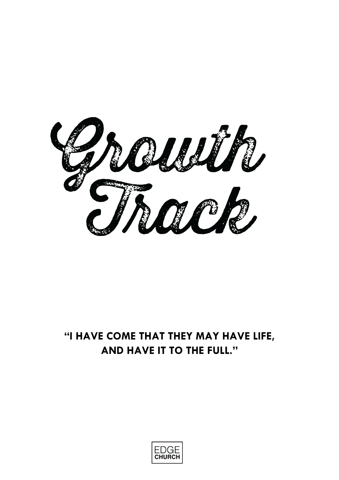

## **"I HAVE COME THAT THEY MAY HAVE LIFE, AND HAVE IT TO THE FULL."**

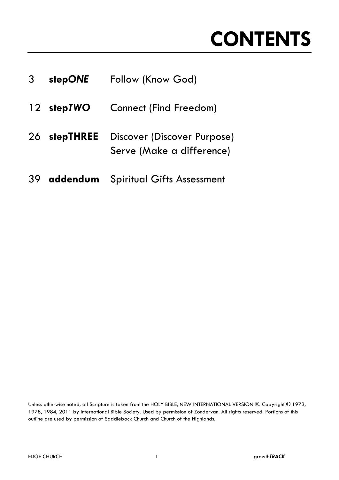# **CONTENTS**

| 3 <sup>7</sup> | stepONE      | Follow (Know God)                                        |
|----------------|--------------|----------------------------------------------------------|
|                | 12 stepTWO   | <b>Connect (Find Freedom)</b>                            |
|                | 26 stepTHREE | Discover (Discover Purpose)<br>Serve (Make a difference) |
|                |              | 39 addendum Spiritual Gifts Assessment                   |

Unless otherwise noted, all Scripture is taken from the HOLY BIBLE, NEW INTERNATIONAL VERSION ®. Copyright © 1973, 1978, 1984, 2011 by International Bible Society. Used by permission of Zondervan. All rights reserved. Portions of this outline are used by permission of Saddleback Church and Church of the Highlands.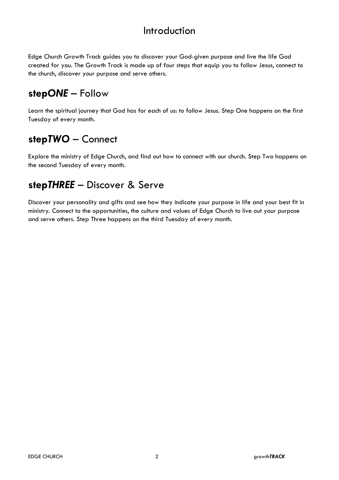### Introduction

Edge Church Growth Track guides you to discover your God-given purpose and live the life God created for you. The Growth Track is made up of four steps that equip you to follow Jesus, connect to the church, discover your purpose and serve others.

## **step***ONE* – Follow

Learn the spiritual journey that God has for each of us: to follow Jesus. Step One happens on the first Tuesday of every month.

## **step***TWO* – Connect

Explore the ministry of Edge Church, and find out how to connect with our church. Step Two happens on the second Tuesday of every month.

## **step***THREE* – Discover & Serve

Discover your personality and gifts and see how they indicate your purpose in life and your best fit in ministry. Connect to the opportunities, the culture and values of Edge Church to live out your purpose and serve others. Step Three happens on the third Tuesday of every month.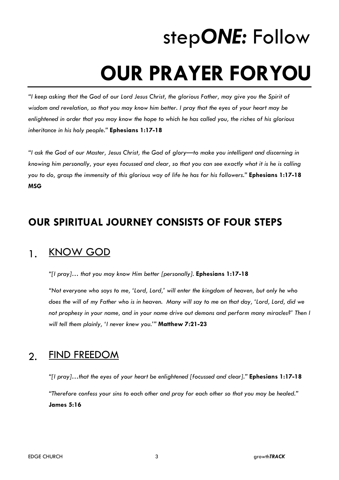# step*ONE:* Follow **OUR PRAYER FORYOU**

*"I keep asking that the God of our Lord Jesus Christ, the glorious Father, may give you the Spirit of wisdom and revelation, so that you may know him better. I pray that the eyes of your heart may be enlightened in order that you may know the hope to which he has called you, the riches of his glorious inheritance in his holy people."* **Ephesians 1:17-18**

*"I ask the God of our Master, Jesus Christ, the God of glory—to make you intelligent and discerning in knowing him personally, your eyes focussed and clear, so that you can see exactly what it is he is calling you to do, grasp the immensity of this glorious way of life he has for his followers."* **Ephesians 1:17-18 MSG**

## **OUR SPIRITUAL JOURNEY CONSISTS OF FOUR STEPS**

#### 1. KNOW GOD

*"[I pray]… that you may know Him better [personally].* **Ephesians 1:17-18**

*"Not everyone who says to me, 'Lord, Lord,' will enter the kingdom of heaven, but only he who does the will of my Father who is in heaven. Many will say to me on that day, 'Lord, Lord, did we not prophesy in your name, and in your name drive out demons and perform many miracles?' Then I will tell them plainly, 'I never knew you.'"* **Matthew 7:21-23**

## 2. FIND FREEDOM

*"[I pray]…that the eyes of your heart be enlightened [focussed and clear]."* **Ephesians 1:17-18** *"Therefore confess your sins to each other and pray for each other so that you may be healed."* **James 5:16**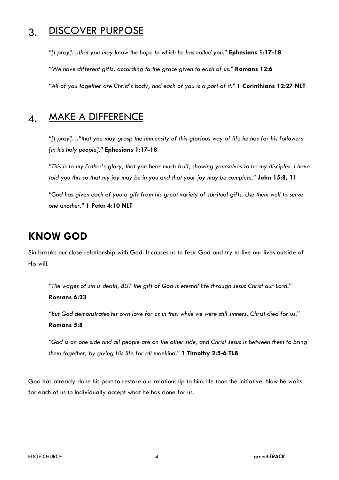### 3. DISCOVER PURPOSE

*"[I pray]…that you may know the hope to which he has called you."* **Ephesians 1:17-18** *"We have different gifts, according to the grace given to each of us."* **Romans 12:6** *"All of you together are Christ's body, and each of you is a part of it."* **1 Corinthians 12:27 NLT**

#### 4. MAKE A DIFFERENCE

*"[I pray]…"that you may grasp the immensity of this glorious way of life he has for his followers [in his holy people]."* **Ephesians 1:17-18**

*"This is to my Father's glory, that you bear much fruit, showing yourselves to be my disciples. I have told you this so that my joy may be in you and that your joy may be complete."* **John 15:8, 11**

*"God has given each of you a gift from his great variety of spiritual gifts. Use them well to serve one another."* **1 Peter 4:10 NLT**

## **KNOW GOD**

Sin breaks our close relationship with God. It causes us to fear God and try to live our lives outside of His will.

*"The wages of sin is death, BUT the gift of God is eternal life through Jesus Christ our Lord."* **Romans 6:23**

*"But God demonstrates his own love for us in this: while we were still sinners, Christ died for us."* **Romans 5:8**

*"God is on one side and all people are on the other side, and Christ Jesus is between them to bring them together, by giving His life for all mankind."* **1 Timothy 2:5-6 TLB**

God has already done his part to restore our relationship to him. He took the initiative. Now he waits for each of us to individually accept what he has done for us.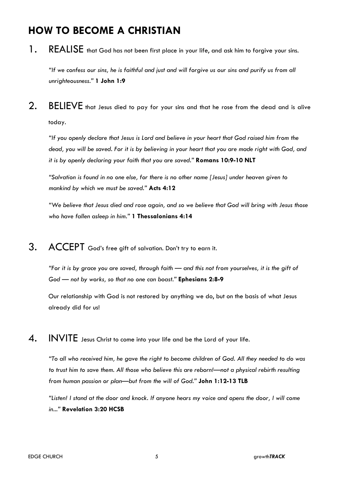## **HOW TO BECOME A CHRISTIAN**

1. REALISE that God has not been first place in your life, and ask him to forgive your sins.

*"If we confess our sins, he is faithful and just and will forgive us our sins and purify us from all unrighteousness."* **1 John 1:9**

2. BELIEVE that Jesus died to pay for your sins and that he rose from the dead and is alive today.

*"If you openly declare that Jesus is Lord and believe in your heart that God raised him from the dead, you will be saved. For it is by believing in your heart that you are made right with God, and it is by openly declaring your faith that you are saved."* **Romans 10:9-10 NLT**

*"Salvation is found in no one else, for there is no other name [Jesus] under heaven given to mankind by which we must be saved."* **Acts 4:12**

*"We believe that Jesus died and rose again, and so we believe that God will bring with Jesus those who have fallen asleep in him."* **1 Thessalonians 4:14**

3. ACCEPT God's free gift of salvation. Don't try to earn it.

*"For it is by grace you are saved, through faith — and this not from yourselves, it is the gift of God — not by works, so that no one can boast."* **Ephesians 2:8-9**

Our relationship with God is not restored by anything we do, but on the basis of what Jesus already did for us!

4. INVITE Jesus Christ to come into your life and be the Lord of your life.

*"To all who received him, he gave the right to become children of God. All they needed to do was to trust him to save them. All those who believe this are reborn!—not a physical rebirth resulting from human passion or plan—but from the will of God."* **John 1:12-13 TLB**

*"Listen! I stand at the door and knock. If anyone hears my voice and opens the door, I will come in..."* **Revelation 3:20 HCSB**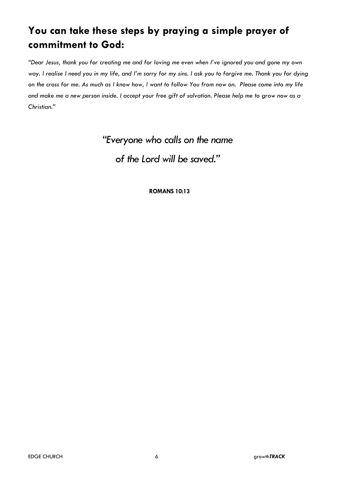## **You can take these steps by praying a simple prayer of commitment to God:**

*"Dear Jesus, thank you for creating me and for loving me even when I've ignored you and gone my own way. I realise I need you in my life, and I'm sorry for my sins. I ask you to forgive me. Thank you for dying on the cross for me. As much as I know how, I want to follow You from now on. Please come into my life and make me a new person inside. I accept your free gift of salvation. Please help me to grow now as a Christian."*

*"Everyone who calls on the name*

*of the Lord will be saved."*

**ROMANS 10:13**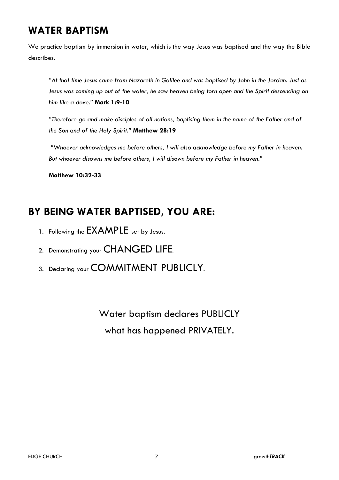## **WATER BAPTISM**

We practice baptism by immersion in water, which is the way Jesus was baptised and the way the Bible describes.

*"At that time Jesus came from Nazareth in Galilee and was baptised by John in the Jordan. Just as Jesus was coming up out of the water, he saw heaven being torn open and the Spirit descending on him like a dove."* **Mark 1:9-10**

*"Therefore go and make disciples of all nations, baptising them in the name of the Father and of the Son and of the Holy Spirit."* **Matthew 28:19**

*"Whoever acknowledges me before others, I will also acknowledge before my Father in heaven. But whoever disowns me before others, I will disown before my Father in heaven."*

**Matthew 10:32-33**

## **BY BEING WATER BAPTISED, YOU ARE:**

- 1. Following the EXAMPLE set by Jesus.
- 2. Demonstrating your CHANGED LIFE.
- 3. Declaring your COMMITMENT PUBLICLY.

Water baptism declares PUBLICLY what has happened PRIVATELY.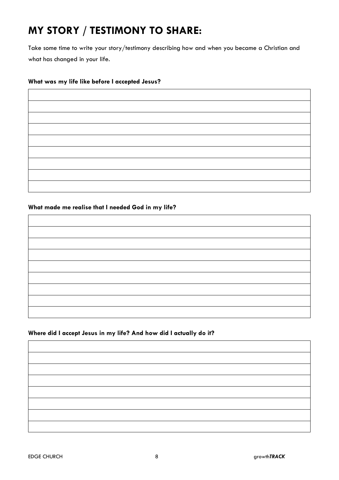## **MY STORY / TESTIMONY TO SHARE:**

Take some time to write your story/testimony describing how and when you became a Christian and what has changed in your life.

#### **What was my life like before I accepted Jesus?**

#### **What made me realise that I needed God in my life?**

| and the control of the control |  |
|--------------------------------|--|
|                                |  |
|                                |  |
|                                |  |
|                                |  |
|                                |  |
|                                |  |

#### **Where did I accept Jesus in my life? And how did I actually do it?**

| the control of the control of the control of |  |  |
|----------------------------------------------|--|--|
|                                              |  |  |
|                                              |  |  |
|                                              |  |  |
|                                              |  |  |
|                                              |  |  |
|                                              |  |  |
|                                              |  |  |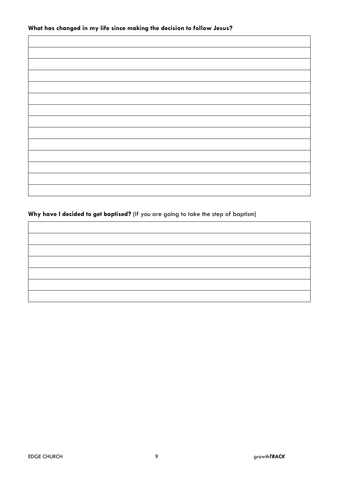#### **What has changed in my life since making the decision to follow Jesus?**

#### **Why have I decided to get baptised?** (If you are going to take the step of baptism)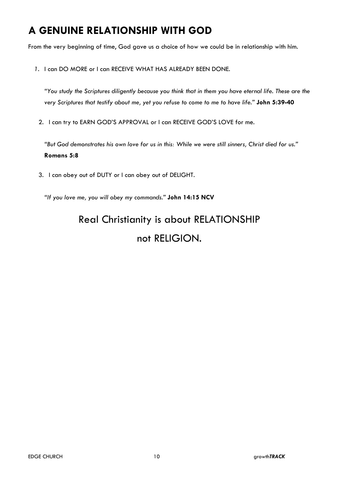## **A GENUINE RELATIONSHIP WITH GOD**

From the very beginning of time, God gave us a choice of how we could be in relationship with him.

*1.* I can DO MORE or I can RECEIVE WHAT HAS ALREADY BEEN DONE.

*"You study the Scriptures diligently because you think that in them you have eternal life. These are the very Scriptures that testify about me, yet you refuse to come to me to have life."* **John 5:39-40**

2. I can try to EARN GOD'S APPROVAL or I can RECEIVE GOD'S LOVE for me.

*"But God demonstrates his own love for us in this: While we were still sinners, Christ died for us."* **Romans 5:8**

3. I can obey out of DUTY or I can obey out of DELIGHT.

*"If you love me, you will obey my commands."* **John 14:15 NCV**

## Real Christianity is about RELATIONSHIP not RELIGION.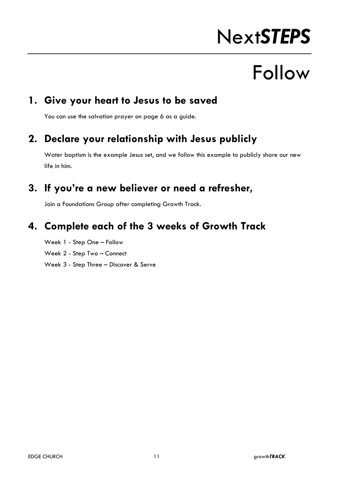# Next*STEPS*

# Follow

### **1. Give your heart to Jesus to be saved**

You can use the salvation prayer on page 6 as a guide.

## **2. Declare your relationship with Jesus publicly**

Water baptism is the example Jesus set, and we follow this example to publicly share our new life in him.

## **3. If you're a new believer or need a refresher,**

Join a Foundations Group after completing Growth Track.

### **4. Complete each of the 3 weeks of Growth Track**

Week 1 - Step One – Follow Week 2 - Step Two – Connect Week 3 - Step Three – Discover & Serve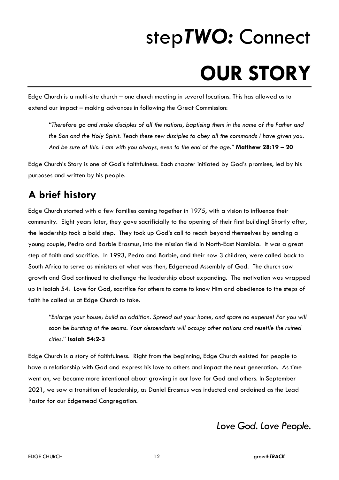# step*TWO:* Connect **OUR STORY**

Edge Church is a multi-site church – one church meeting in several locations. This has allowed us to extend our impact – making advances in following the Great Commission:

*"Therefore go and make disciples of all the nations, baptising them in the name of the Father and the Son and the Holy Spirit. Teach these new disciples to obey all the commands I have given you. And be sure of this: I am with you always, even to the end of the age."* **Matthew 28:19 – 20**

Edge Church's Story is one of God's faithfulness. Each chapter initiated by God's promises, led by his purposes and written by his people.

## **A brief history**

Edge Church started with a few families coming together in 1975, with a vision to influence their community. Eight years later, they gave sacrificially to the opening of their first building! Shortly after, the leadership took a bold step. They took up God's call to reach beyond themselves by sending a young couple, Pedro and Barbie Erasmus, into the mission field in North-East Namibia. It was a great step of faith and sacrifice. In 1993, Pedro and Barbie, and their now 3 children, were called back to South Africa to serve as ministers at what was then, Edgemead Assembly of God. The church saw growth and God continued to challenge the leadership about expanding. The motivation was wrapped up in Isaiah 54: Love for God, sacrifice for others to come to know Him and obedience to the steps of faith he called us at Edge Church to take.

*"Enlarge your house; build an addition. Spread out your home, and spare no expense! For you will*  soon be bursting at the seams. Your descendants will occupy other nations and resettle the ruined *cities."* **Isaiah 54:2-3**

Edge Church is a story of faithfulness. Right from the beginning, Edge Church existed for people to have a relationship with God and express his love to others and impact the next generation. As time went on, we became more intentional about growing in our love for God and others. In September 2021, we saw a transition of leadership, as Daniel Erasmus was inducted and ordained as the Lead Pastor for our Edgemead Congregation.

*Love God. Love People.*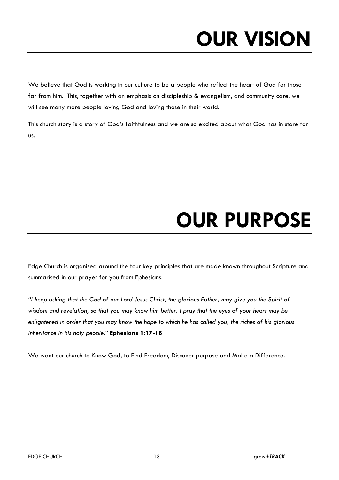# **OUR VISION**

We believe that God is working in our culture to be a people who reflect the heart of God for those far from him. This, together with an emphasis on discipleship & evangelism, and community care, we will see many more people loving God and loving those in their world.

This church story is a story of God's faithfulness and we are so excited about what God has in store for us.

# **OUR PURPOSE**

Edge Church is organised around the four key principles that are made known throughout Scripture and summarised in our prayer for you from Ephesians.

*"I keep asking that the God of our Lord Jesus Christ, the glorious Father, may give you the Spirit of wisdom and revelation, so that you may know him better. I pray that the eyes of your heart may be enlightened in order that you may know the hope to which he has called you, the riches of his glorious inheritance in his holy people."* **Ephesians 1:17-18**

We want our church to Know God, to Find Freedom, Discover purpose and Make a Difference.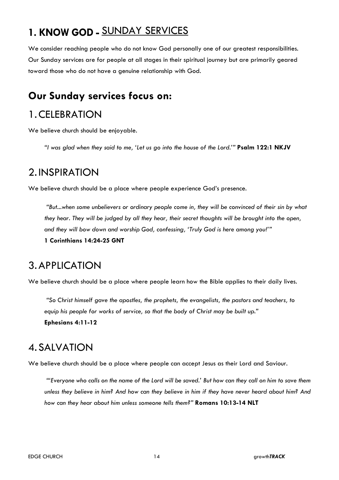## **1. KNOW GOD -** SUNDAY SERVICES

We consider reaching people who do not know God personally one of our greatest responsibilities. Our Sunday services are for people at all stages in their spiritual journey but are primarily geared toward those who do not have a genuine relationship with God.

#### **Our Sunday services focus on:**

## 1.CELEBRATION

We believe church should be enjoyable.

*"I was glad when they said to me, 'Let us go into the house of the Lord.'"* **Psalm 122:1 NKJV**

#### 2. INSPIRATION

We believe church should be a place where people experience God's presence.

*"But...when some unbelievers or ordinary people come in, they will be convinced of their sin by what they hear. They will be judged by all they hear, their secret thoughts will be brought into the open, and they will bow down and worship God, confessing, 'Truly God is here among you!'"*

**1 Corinthians 14:24-25 GNT**

#### 3.APPLICATION

We believe church should be a place where people learn how the Bible applies to their daily lives.

*"So Christ himself gave the apostles, the prophets, the evangelists, the pastors and teachers, to equip his people for works of service, so that the body of Christ may be built up."* **Ephesians 4:11-12**

#### 4. SALVATION

We believe church should be a place where people can accept Jesus as their Lord and Saviour.

*"'Everyone who calls on the name of the Lord will be saved.' But how can they call on him to save them unless they believe in him? And how can they believe in him if they have never heard about him? And how can they hear about him unless someone tells them?"* **Romans 10:13-14 NLT**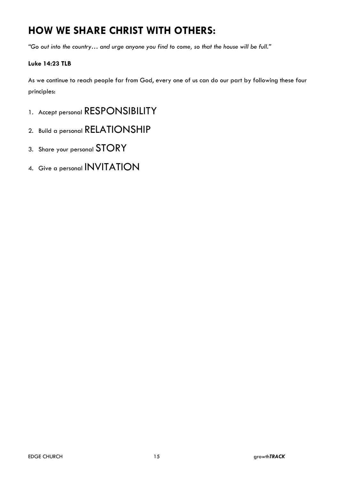## **HOW WE SHARE CHRIST WITH OTHERS:**

*"Go out into the country… and urge anyone you find to come, so that the house will be full."*

#### **Luke 14:23 TLB**

As we continue to reach people far from God, every one of us can do our part by following these four principles:

- 1. Accept personal RESPONSIBILITY
- 2. Build a personal RELATIONSHIP
- 3. Share your personal STORY
- 4. Give a personal INVITATION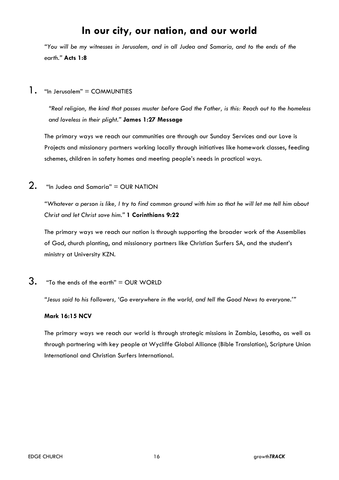### **In our city, our nation, and our world**

*"You will be my witnesses in Jerusalem, and in all Judea and Samaria, and to the ends of the earth."* **Acts 1:8**

1. "In Jerusalem" = COMMUNITIES

*"Real religion, the kind that passes muster before God the Father, is this: Reach out to the homeless and loveless in their plight."* **James 1:27 Message**

The primary ways we reach our communities are through our Sunday Services and our Love is Projects and missionary partners working locally through initiatives like homework classes, feeding schemes, children in safety homes and meeting people's needs in practical ways.

 $2.$  "In Judea and Samaria" = OUR NATION

*"Whatever a person is like, I try to find common ground with him so that he will let me tell him about Christ and let Christ save him."* **1 Corinthians 9:22**

The primary ways we reach our nation is through supporting the broader work of the Assemblies of God, church planting, and missionary partners like Christian Surfers SA, and the student's ministry at University KZN.

 $3.$  "To the ends of the earth" = OUR WORLD

*"Jesus said to his followers, 'Go everywhere in the world, and tell the Good News to everyone.'"*

#### **Mark 16:15 NCV**

The primary ways we reach our world is through strategic missions in Zambia, Lesotho, as well as through partnering with key people at Wycliffe Global Alliance (Bible Translation), Scripture Union International and Christian Surfers International.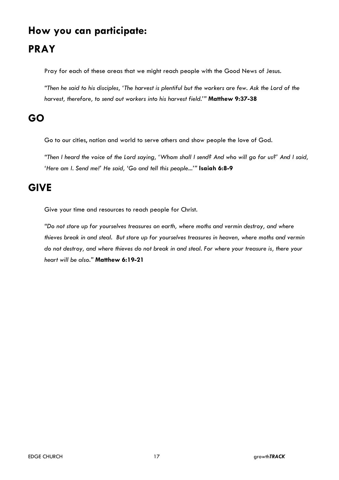## **How you can participate: PRAY**

Pray for each of these areas that we might reach people with the Good News of Jesus.

*"Then he said to his disciples, 'The harvest is plentiful but the workers are few. Ask the Lord of the harvest, therefore, to send out workers into his harvest field.'"* **Matthew 9:37-38**

## **GO**

Go to our cities, nation and world to serve others and show people the love of God.

*"Then I heard the voice of the Lord saying, 'Whom shall I send? And who will go for us?' And I said, 'Here am I. Send me!' He said, 'Go and tell this people...'"* **Isaiah 6:8-9**

## **GIVE**

Give your time and resources to reach people for Christ.

*"Do not store up for yourselves treasures on earth, where moths and vermin destroy, and where thieves break in and steal. But store up for yourselves treasures in heaven, where moths and vermin do not destroy, and where thieves do not break in and steal. For where your treasure is, there your heart will be also."* **Matthew 6:19-21**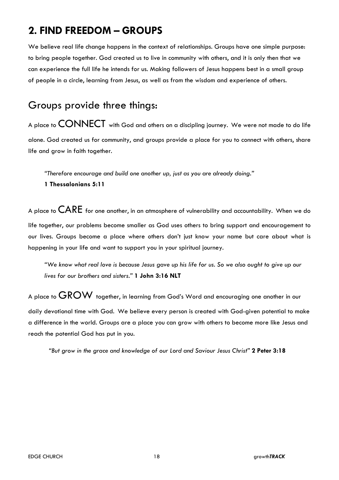## **2. FIND FREEDOM – GROUPS**

We believe real life change happens in the context of relationships. Groups have one simple purpose: to bring people together. God created us to live in community with others, and it is only then that we can experience the full life he intends for us. Making followers of Jesus happens best in a small group of people in a circle, learning from Jesus, as well as from the wisdom and experience of others.

## Groups provide three things:

A place to CONNECT with God and others on a discipling journey. We were not made to do life alone. God created us for community, and groups provide a place for you to connect with others, share life and grow in faith together.

*"Therefore encourage and build one another up, just as you are already doing."* 

#### **1 Thessalonians 5:11**

A place to  $\mathsf{CARE}$  for one another, in an atmosphere of vulnerability and accountability. When we do life together, our problems become smaller as God uses others to bring support and encouragement to our lives. Groups become a place where others don't just know your name but care about what is happening in your life and want to support you in your spiritual journey.

*"We know what real love is because Jesus gave up his life for us. So we also ought to give up our lives for our brothers and sisters."* **1 John 3:16 NLT**

A place to  $\overline{GROW}$  together, in learning from God's Word and encouraging one another in our daily devotional time with God. We believe every person is created with God-given potential to make a difference in the world. Groups are a place you can grow with others to become more like Jesus and reach the potential God has put in you.

*"But grow in the grace and knowledge of our Lord and Saviour Jesus Christ"* **2 Peter 3:18**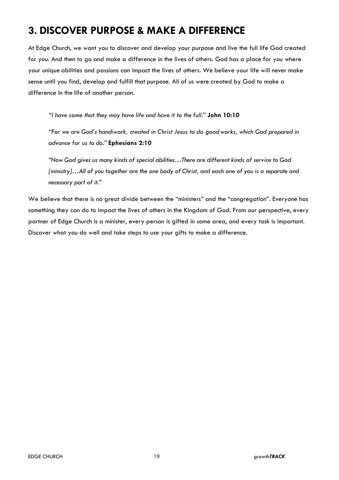## **3. DISCOVER PURPOSE & MAKE A DIFFERENCE**

At Edge Church, we want you to discover and develop your purpose and live the full life God created for you. And then to go and make a difference in the lives of others. God has a place for you where your unique abilities and passions can impact the lives of others. We believe your life will never make sense until you find, develop and fulfill that purpose. All of us were created by God to make a difference in the life of another person.

*"I have come that they may have life and have it to the full."* **John 10:10**

*"For we are God's handiwork, created in Christ Jesus to do good works, which God prepared in advance for us to do."* **Ephesians 2:10**

*"Now God gives us many kinds of special abilities…There are different kinds of service to God [ministry]…All of you together are the one body of Christ, and each one of you is a separate and necessary part of it."*

We believe that there is no great divide between the "ministers" and the "congregation". Everyone has something they can do to impact the lives of others in the Kingdom of God. From our perspective, every partner of Edge Church is a minister, every person is gifted in some area, and every task is important. Discover what you do well and take steps to use your gifts to make a difference.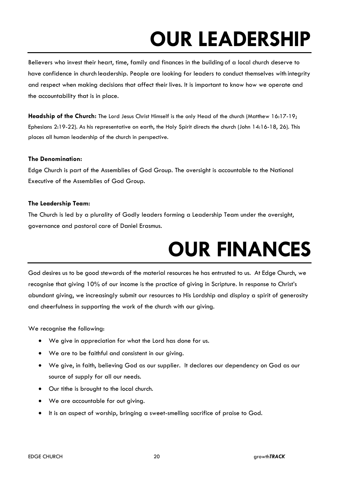# **OUR LEADERSHIP**

Believers who invest their heart, time, family and finances in the buildingof a local church deserve to have confidence in church leadership. People are looking for leaders to conduct themselves with integrity and respect when making decisions that affect their lives. It is important to know how we operate and the accountability that is in place.

**Headship of the Church:** The Lord Jesus Christ Himself is the only Head of the church (Matthew 16:17-19; Ephesians 2:19-22). As his representative on earth, the Holy Spirit directs the church (John 14:16-18, 26). This places all human leadership of the church in perspective.

#### **The Denomination:**

Edge Church is part of the Assemblies of God Group. The oversight is accountable to the National Executive of the Assemblies of God Group.

#### **The Leadership Team:**

The Church is led by a plurality of Godly leaders forming a Leadership Team under the oversight, governance and pastoral care of Daniel Erasmus.

# **OUR FINANCES**

God desires us to be good stewards of the material resources he has entrusted to us. At Edge Church, we recognise that giving 10% of our income is the practice of giving in Scripture. In response to Christ's abundant giving, we increasingly submit our resources to His Lordship and display a spirit of generosity and cheerfulness in supporting the work of the church with our giving.

We recognise the following:

- We give in appreciation for what the Lord has done for us.
- We are to be faithful and consistent in our giving.
- We give, in faith, believing God as our supplier. It declares our dependency on God as our source of supply for all our needs.
- Our tithe is brought to the local church.
- We are accountable for out giving.
- It is an aspect of worship, bringing a sweet-smelling sacrifice of praise to God.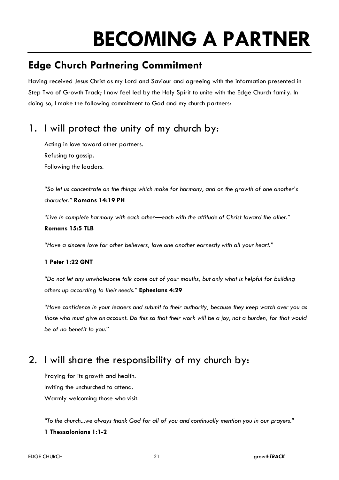# **BECOMING A PARTNER**

## **Edge Church Partnering Commitment**

Having received Jesus Christ as my Lord and Saviour and agreeing with the information presented in Step Two of Growth Track; I now feel led by the Holy Spirit to unite with the Edge Church family. In doing so, I make the following commitment to God and my church partners:

## 1. I will protect the unity of my church by:

Acting in love toward other partners. Refusing to gossip. Following the leaders.

*"So let us concentrate on the things which make for harmony, and on the growth of one another's character."* **Romans 14:19 PH**

*"Live in complete harmony with each other*—*each with the attitude of Christ toward the other."* **Romans 15:5 TLB**

*"Have a sincere love for other believers, love one another earnestly with all your heart."*

#### **1 Peter 1:22 GNT**

*"Do not let any unwholesome talk come out of your mouths, but only what is helpful for building others up according to their needs."* **Ephesians 4:29**

*"Have confidence in your leaders and submit to their authority, because they keep watch over you as those who must give an account. Do this so that their work will be a joy, not a burden, for that would be of no benefit to you."*

## 2. I will share the responsibility of my church by:

Praying for its growth and health. Inviting the unchurched to attend. Warmly welcoming those who visit.

*"To the church...we always thank God for all of you and continually mention you in our prayers."* **1 Thessalonians 1:1-2**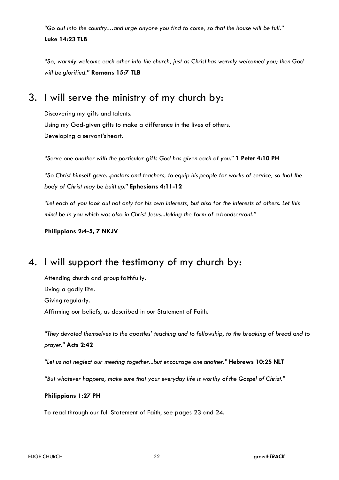*"Go out into the country…and urge anyone you find to come, so that the house will be full."* **Luke 14:23 TLB**

*"So, warmly welcome each other into the church, just as Christ has warmly welcomed you; then God will be glorified."* **Romans 15:7 TLB**

#### 3. I will serve the ministry of my church by:

Discovering my gifts and talents. Using my God-given gifts to make a difference in the lives of others. Developing a servant's heart.

*"Serve one another with the particular gifts God has given each of you."* **1 Peter 4:10 PH**

*"So Christ himself gave...pastors and teachers, to equip his people for works of service, so that the body of Christ may be built up."* **Ephesians 4:11-12**

*"Let each of you look out not only for his own interests, but also for the interests of others. Let this mind be in you which was also in Christ Jesus...taking the form of a bondservant."*

**Philippians 2:4-5, 7 NKJV**

#### 4. I will support the testimony of my church by:

Attending church and group faithfully. Living a godly life. Giving regularly. Affirming our beliefs, as described in our Statement of Faith.

*"They devoted themselves to the apostles' teaching and to fellowship, to the breaking of bread and to prayer."* **Acts 2:42**

*"Let us not neglect our meeting together...but encourage one another."* **Hebrews 10:25 NLT**

*"But whatever happens, make sure that your everyday life is worthy ofthe Gospel of Christ."*

#### **Philippians 1:27 PH**

To read through our full Statement of Faith, see pages 23 and 24.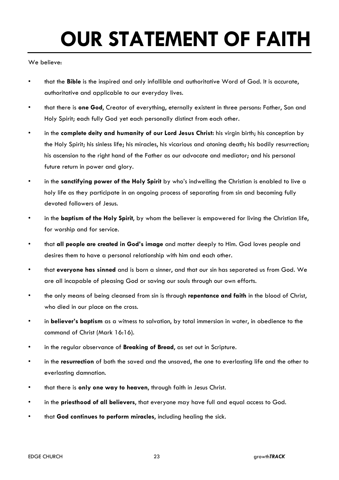# **OUR STATEMENT OF FAITH**

We believe:

- that the **Bible** is the inspired and only infallible and authoritative Word of God. It is accurate, authoritative and applicable to our everyday lives.
- that there is **one God**, Creator of everything, eternally existent in three persons: Father, Son and Holy Spirit; each fully God yet each personally distinct from each other.
- in the **complete deity and humanity of our Lord Jesus Christ:** his virgin birth; his conception by the Holy Spirit; his sinless life; his miracles, his vicarious and atoning death; his bodily resurrection; his ascension to the right hand of the Father as our advocate and mediator; and his personal future return in power and glory.
- in the **sanctifying power of the Holy Spirit** by who's indwelling the Christian is enabled to live a holy life as they participate in an ongoing process of separating from sin and becoming fully devoted followers of Jesus.
- in the **baptism of the Holy Spirit**, by whom the believer is empowered for living the Christian life, for worship and for service.
- that **all people are created in God's image** and matter deeply to Him. God loves people and desires them to have a personal relationship with him and each other.
- that **everyone has sinned** and is born a sinner, and that our sin has separated us from God. We are all incapable of pleasing God or saving our souls through our own efforts.
- the only means of being cleansed from sin is through **repentance and faith** in the blood of Christ, who died in our place on the cross.
- in **believer's baptism** as a witness to salvation, by total immersion in water, in obedience to the command of Christ (Mark 16:16).
- in the regular observance of **Breaking of Bread**, as set out in Scripture.
- in the **resurrection** of both the saved and the unsaved, the one to everlasting life and the other to everlasting damnation.
- that there is **only one way to heaven**, through faith in Jesus Christ.
- in the **priesthood of all believers**, that everyone may have full and equal access to God.
- that **God continues to perform miracles**, including healing the sick.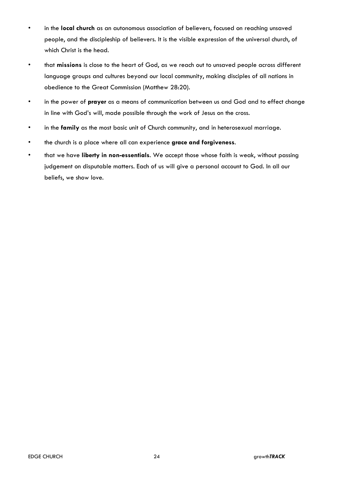- in the **local church** as an autonomous association of believers, focused on reaching unsaved people, and the discipleship of believers. It is the visible expression of the universal church, of which Christ is the head.
- that **missions** is close to the heart of God, as we reach out to unsaved people across different language groups and cultures beyond our local community, making disciples of all nations in obedience to the Great Commission (Matthew 28:20).
- in the power of **prayer** as a means of communication between us and God and to effect change in line with God's will, made possible through the work of Jesus on the cross.
- in the **family** as the most basic unit of Church community, and in heterosexual marriage.
- the church is a place where all can experience **grace and forgiveness**.
- that we have **liberty in non-essentials**. We accept those whose faith is weak, without passing judgement on disputable matters. Each of us will give a personal account to God. In all our beliefs, we show love.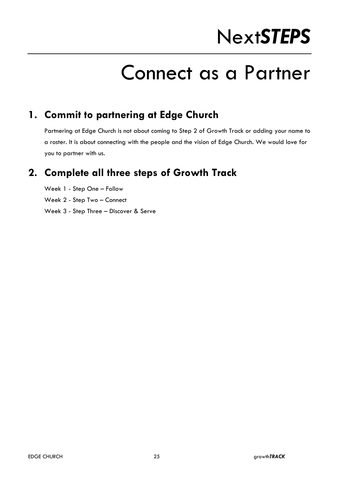# Next*STEPS*

## Connect as a Partner

## **1. Commit to partnering at Edge Church**

Partnering at Edge Church is not about coming to Step 2 of Growth Track or adding your name to a roster. It is about connecting with the people and the vision of Edge Church. We would love for you to partner with us.

## **2. Complete all three steps of Growth Track**

Week 1 - Step One – Follow

Week 2 - Step Two – Connect

Week 3 - Step Three – Discover & Serve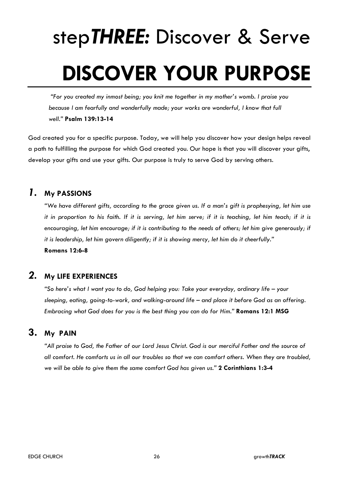# step*THREE:* Discover & Serve **DISCOVER YOUR PURPOSE**

*"For you created my inmost being; you knit me together in my mother's womb. I praise you because I am fearfully and wonderfully made; your works are wonderful, I know that full well."* **Psalm 139:13-14**

God created you for a specific purpose. Today, we will help you discover how your design helps reveal a path to fulfilling the purpose for which God created you. Our hope is that you will discover your gifts, develop your gifts and use your gifts. Our purpose is truly to serve God by serving others.

#### *1.* **My PASSIONS**

*"We have different gifts, according to the grace given us. If a man's gift is prophesying, let him use it in proportion to his faith. If it is serving, let him serve; if it is teaching, let him teach; if it is encouraging, let him encourage; if it is contributing to the needs of others; let him give generously; if it is leadership, let him govern diligently; if it is showing mercy, let him do it cheerfully."* **Romans 12:6-8**

#### *2.* **My LIFE EXPERIENCES**

*"So here's what I want you to do, God helping you: Take your everyday, ordinary life – your sleeping, eating, going-to-work, and walking-around life – and place it before God as an offering. Embracing what God does for you is the best thing you can do for Him."* **Romans 12:1 MSG**

#### **3. My PAIN**

*"All praise to God, the Father of our Lord Jesus Christ. God is our merciful Father and the source of all comfort. He comforts us in all our troubles so that we can comfort others. When they are troubled, we will be able to give them the same comfort God has given us."* **2 Corinthians 1:3-4**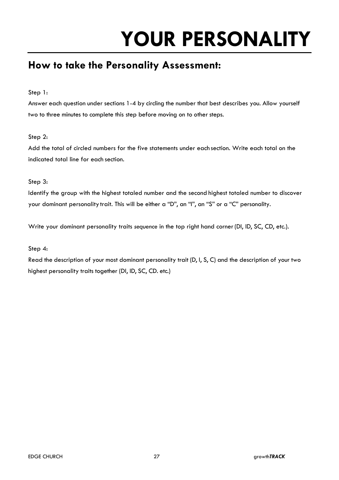# **YOUR PERSONALITY**

## **How to take the Personality Assessment:**

Step 1:

Answer each question under sections 1-4 by circling the number that best describes you. Allow yourself two to three minutes to complete this step before moving on to other steps.

#### Step 2:

Add the total of circled numbers for the five statements under each section. Write each total on the indicated total line for each section.

#### Step 3:

Identify the group with the highest totaled number and the second highest totaled number to discover your dominant personality trait. This will be either a "D", an "I", an "S" or a "C" personality.

Write your dominant personality traits *sequence* in the top right hand corner(DI, ID, SC, CD, etc.).

#### Step 4:

Read the description of your most dominant personality trait (D, I, S, C) and the description of your two highest personality traits together (DI, ID, SC, CD. etc.)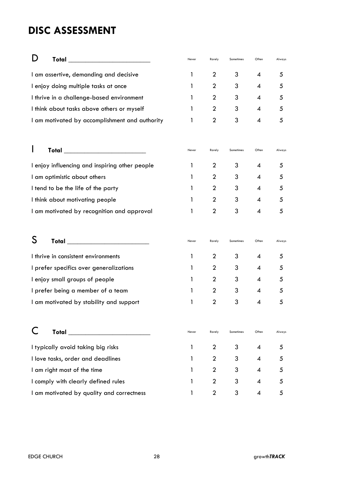## **DISC ASSESSMENT**

| Total <b>Experiment Contract Contract Contract Contract Contract Contract Contract Contract Contract Contract Contract Contract Contract Contract Contract Contract Contract Contract Contract Contract Contract Contract Contra</b> | Never | Rarely         | Sometimes | Often                    | Always |
|--------------------------------------------------------------------------------------------------------------------------------------------------------------------------------------------------------------------------------------|-------|----------------|-----------|--------------------------|--------|
| I am assertive, demanding and decisive                                                                                                                                                                                               | 1     | $\overline{2}$ | 3         | 4                        | 5      |
| I enjoy doing multiple tasks at once                                                                                                                                                                                                 | 1     | $\overline{2}$ | 3         | $\boldsymbol{\varDelta}$ | 5      |
| I thrive in a challenge-based environment                                                                                                                                                                                            | 1     | $\overline{2}$ | 3         | 4                        | 5      |
| I think about tasks above others or myself                                                                                                                                                                                           | 1     | $\overline{2}$ | 3         | 4                        | 5      |
| I am motivated by accomplishment and authority                                                                                                                                                                                       | 1     | $\overline{2}$ | 3         | 4                        | 5      |
| Total ______________________________                                                                                                                                                                                                 | Never | Rarely         | Sometimes | Often                    | Always |
| I enjoy influencing and inspiring other people                                                                                                                                                                                       | 1     | $\overline{2}$ | 3         | 4                        | 5      |
| I am optimistic about others                                                                                                                                                                                                         | 1     | $\overline{2}$ | 3         | 4                        | 5      |
| I tend to be the life of the party                                                                                                                                                                                                   | 1     | $\overline{2}$ | 3         | 4                        | 5      |
| I think about motivating people                                                                                                                                                                                                      | 1     | $\overline{2}$ | 3         | 4                        | 5      |
| I am motivated by recognition and approval                                                                                                                                                                                           | 1     | $\overline{2}$ | 3         | 4                        | 5      |
| S<br>Total ________________________                                                                                                                                                                                                  | Never | Rarely         | Sometimes | Often                    | Always |
| I thrive in consistent environments                                                                                                                                                                                                  | 1     | $\overline{2}$ | 3         | 4                        | 5      |
| I prefer specifics over generalizations                                                                                                                                                                                              | 1     | $\overline{2}$ | 3         | 4                        | 5      |
| I enjoy small groups of people                                                                                                                                                                                                       | 1     | $\overline{2}$ | 3         | 4                        | 5      |
| I prefer being a member of a team                                                                                                                                                                                                    | 1     | $\overline{2}$ | 3         | 4                        | 5      |
| I am motivated by stability and support                                                                                                                                                                                              | 1     | $\overline{2}$ | 3         | 4                        | 5      |
| Total ______________________________                                                                                                                                                                                                 | Never | Rarely         | Sometimes | Often                    | Always |
| I typically avoid taking big risks                                                                                                                                                                                                   | 1     | $\mathbf 2$    | 3         | 4                        | 5      |
| I love tasks, order and deadlines                                                                                                                                                                                                    | 1     | $\overline{2}$ | 3         | 4                        | 5      |
| I am right most of the time                                                                                                                                                                                                          | 1     | 2              | 3         | 4                        | 5      |
| I comply with clearly defined rules                                                                                                                                                                                                  | 1     | $\overline{2}$ | 3         | 4                        | 5      |
| I am motivated by quality and correctness                                                                                                                                                                                            |       | $\overline{2}$ | 3         | 4                        | 5      |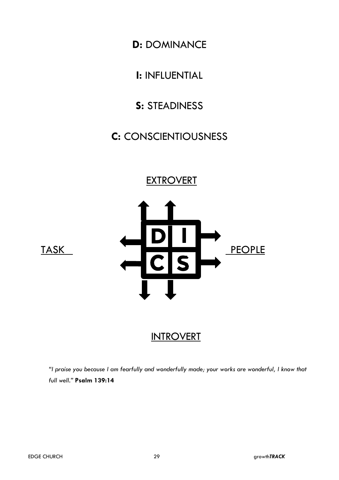**D:** DOMINANCE

**I:** INFLUENTIAL

## **S:** STEADINESS

## **C:** CONSCIENTIOUSNESS

### **EXTROVERT**





## **INTROVERT**

*"I praise you because I am fearfully and wonderfully made; your works are wonderful, I know that full well."* **Psalm 139:14**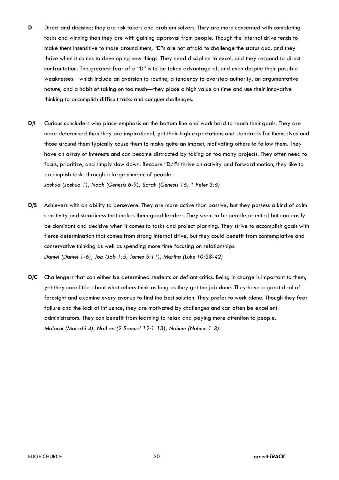- **D** Direct and decisive; they are risk takers and problem solvers. They are more concerned with completing tasks and winning than they are with gaining approval from people. Though the internal drive tends to make them insensitive to those around them, "D"s are not afraid to challenge the status quo, and they thrive when it comes to developing new things. They need discipline to excel, and they respond to direct confrontation. The greatest fear of a "D" is to be taken advantage of, and even despite their possible weaknesses—which include an aversion to routine, a tendency to overstep authority, an argumentative nature, and a habit of taking on too much—they place a high value on time and use their innovative thinking to accomplish difficult tasks and conquer challenges.
- **D/I** Curious concluders who place emphasis on the bottom line and work hard to reach their goals. They are more determined than they are inspirational, yet their high expectations and standards for themselves and those around them typically cause them to make quite an impact, motivating others to follow them. They have an array of interests and can become distracted by taking on too many projects. They often need to focus, prioritize, and simply slow down. Because "D/I"s thrive on activity and forward motion, they like to accomplish tasks through a large number of people. *Joshua (Joshua 1), Noah (Genesis 6-9), Sarah (Genesis 16, 1 Peter 3:6)*
- **D/S** Achievers with an ability to persevere. They are more active than passive, but they possess a kind of calm sensitivity and steadiness that makes them good leaders. They seem to be people-oriented but can easily be dominant and decisive when it comes to tasks and project planning. They strive to accomplish goals with fierce determination that comes from strong internal drive, but they could benefit from contemplative and conservative thinking as well as spending more time focusing on relationships. *Daniel (Daniel 1-6), Job (Job 1:5, James 5:11), Martha (Luke 10:38-42)*
- **D/C** Challengers that can either be determined students or defiant critics. Being in charge is important to them, yet they care little about what others think as long as they get the job done. They have a great deal of foresight and examine every avenue to find the best solution. They prefer to work alone. Though they fear failure and the lack of influence, they are motivated by challenges and can often be excellent administrators. They can benefit from learning to relax and paying more attention to people. *Malachi (Malachi 4), Nathan (2 Samuel 12:1-13), Nahum (Nahum 1-3).*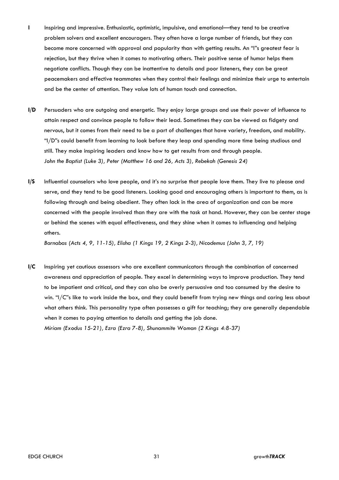- **I** Inspiring and impressive. Enthusiastic, optimistic, impulsive, and emotional—they tend to be creative problem solvers and excellent encouragers. They often have a large number of friends, but they can become more concerned with approval and popularity than with getting results. An "I"s greatest fear is rejection, but they thrive when it comes to motivating others. Their positive sense of humor helps them negotiate conflicts. Though they can be inattentive to details and poor listeners, they can be great peacemakers and effective teammates when they control their feelings and minimize their urge to entertain and be the center of attention. They value lots of human touch and connection.
- **I/D** Persuaders who are outgoing and energetic. They enjoy large groups and use their power of influence to attain respect and convince people to follow their lead. Sometimes they can be viewed as fidgety and nervous, but it comes from their need to be a part of challenges that have variety, freedom, and mobility. "I/D"s could benefit from learning to look before they leap and spending more time being studious and still. They make inspiring leaders and know how to get results from and through people. *John the Baptist (Luke 3), Peter (Matthew 16 and 26, Acts 3), Rebekah (Genesis 24)*
- **I/S** Influential counselors who love people, and it's no surprise that people love them. They live to please and serve, and they tend to be good listeners. Looking good and encouraging others is important to them, as is following through and being obedient. They often lack in the area of organization and can be more concerned with the people involved than they are with the task at hand. However, they can be center stage or behind the scenes with equal effectiveness, and they shine when it comes to influencing and helping others.

*Barnabas (Acts 4, 9, 11-15), Elisha (1 Kings 19, 2 Kings 2-3), Nicodemus (John 3, 7, 19)*

**I/C** Inspiring yet cautious assessors who are excellent communicators through the combination of concerned awareness and appreciation of people. They excel in determining ways to improve production. They tend to be impatient and critical, and they can also be overly persuasive and too consumed by the desire to win. "I/C"s like to work inside the box, and they could benefit from trying new things and caring less about what others think. This personality type often possesses a gift for teaching; they are generally dependable when it comes to paying attention to details and getting the job done. *Miriam (Exodus 15-21), Ezra (Ezra 7-8), Shunammite Woman (2 Kings 4:8-37)*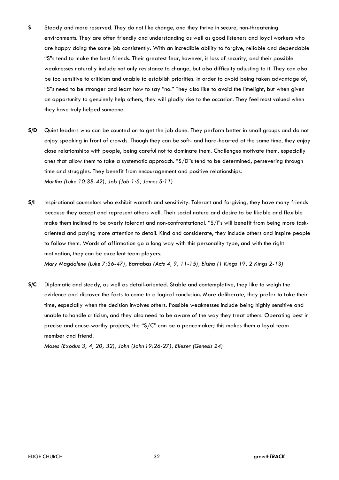- **S** Steady and more reserved. They do not like change, and they thrive in secure, non-threatening environments. They are often friendly and understanding as well as good listeners and loyal workers who are happy doing the same job consistently. With an incredible ability to forgive, reliable and dependable "S"s tend to make the best friends. Their greatest fear, however, is loss of security, and their possible weaknesses naturally include not only resistance to change, but also difficulty adjusting to it. They can also be too sensitive to criticism and unable to establish priorities. In order to avoid being taken advantage of, "S"s need to be stronger and learn how to say "no." They also like to avoid the limelight, but when given an opportunity to genuinely help others, they will gladly rise to the occasion. They feel most valued when they have truly helped someone.
- **S/D** Quiet leaders who can be counted on to get the job done. They perform better in small groups and do not enjoy speaking in front of crowds. Though they can be soft- and hard-hearted at the same time, they enjoy close relationships with people, being careful not to dominate them. Challenges motivate them, especially ones that allow them to take a systematic approach. "S/D"s tend to be determined, persevering through time and struggles. They benefit from encouragement and positive relationships. *Martha (Luke 10:38-42), Job (Job 1:5, James 5:11)*
- **S/I** Inspirational counselors who exhibit warmth and sensitivity. Tolerant and forgiving, they have many friends because they accept and represent others well. Their social nature and desire to be likable and flexible make them inclined to be overly tolerant and non-confrontational. "S/I"s will benefit from being more taskoriented and paying more attention to detail. Kind and considerate, they include others and inspire people to follow them. Words of affirmation go a long way with this personality type, and with the right motivation, they can be excellent team players. *Mary Magdalene (Luke 7:36-47), Barnabas (Acts 4, 9, 11-15), Elisha (1 Kings 19, 2 Kings 2-13)*
- **S/C** Diplomatic and steady, as well as detail-oriented. Stable and contemplative, they like to weigh the evidence and discover the facts to come to a logical conclusion. More deliberate, they prefer to take their time, especially when the decision involves others. Possible weaknesses include being highly sensitive and unable to handle criticism, and they also need to be aware of the way they treat others. Operating best in precise and cause-worthy projects, the " $S/C$ " can be a peacemaker; this makes them a loyal team member and friend.

*Moses (Exodus 3, 4, 20, 32), John (John 19:26-27), Eliezer (Genesis 24)*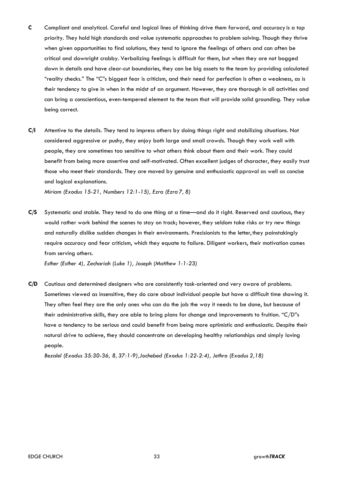- **C** Compliant and analytical. Careful and logical lines of thinking drive them forward, and accuracy is a top priority. They hold high standards and value systematic approaches to problem solving. Though they thrive when given opportunities to find solutions, they tend to ignore the feelings of others and can often be critical and downright crabby. Verbalizing feelings is difficult for them, but when they are not bogged down in details and have clear-cut boundaries, they can be big assets to the team by providing calculated "reality checks." The "C"s biggest fear is criticism, and their need for perfection is often a weakness, as is their tendency to give in when in the midst of an argument. However, they are thorough in all activities and can bring a conscientious, even-tempered element to the team that will provide solid grounding. They value being correct.
- **C/I** Attentive to the details. They tend to impress others by doing things right and stabilizing situations. Not considered aggressive or pushy, they enjoy both large and small crowds. Though they work well with people, they are sometimes too sensitive to what others think about them and their work. They could benefit from being more assertive and self-motivated. Often excellent judges of character, they easily trust those who meet their standards. They are moved by genuine and enthusiastic approval as well as concise and logical explanations.

*Miriam (Exodus 15-21, Numbers 12:1-15), Ezra (Ezra 7, 8)*

**C/S** Systematic and stable. They tend to do one thing at a time—and do it right. Reserved and cautious, they would rather work behind the scenes to stay on track; however, they seldom take risks or try new things and naturally dislike sudden changes in their environments. Precisionists to the letter, they painstakingly require accuracy and fear criticism, which they equate to failure. Diligent workers, their motivation comes from serving others.

*Esther (Esther 4), Zechariah (Luke 1), Joseph (Matthew 1:1-23)*

**C/D** Cautious and determined designers who are consistently task-oriented and very aware of problems. Sometimes viewed as insensitive, they do care about individual people but have a difficult time showing it. They often feel they are the only ones who can do the job the way it needs to be done, but because of their administrative skills, they are able to bring plans for change and improvements to fruition. "C/D"s have a tendency to be serious and could benefit from being more optimistic and enthusiastic. Despite their natural drive to achieve, they should concentrate on developing healthy relationships and simply loving people.

*Bezalel (Exodus 35:30-36, 8, 37:1-9),Jochebed (Exodus 1:22-2:4), Jethro (Exodus 2,18)*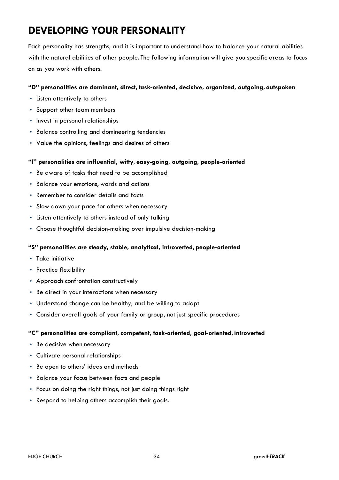## **DEVELOPING YOUR PERSONALITY**

Each personality has strengths, and it is important to understand how to balance your natural abilities with the natural abilities of other people. The following information will give you specific areas to focus on as you work with others.

#### **"D" personalities are dominant, direct, task-oriented, decisive, organized, outgoing, outspoken**

- Listen attentively to others
- Support other team members
- Invest in personal relationships
- Balance controlling and domineering tendencies
- Value the opinions, feelings and desires of others

#### **"I" personalities are influential, witty, easy-going, outgoing, people-oriented**

- Be aware of tasks that need to be accomplished
- Balance your emotions, words and actions
- Remember to consider details and facts
- Slow down your pace for others when necessary
- Listen attentively to others instead of only talking
- Choose thoughtful decision-making over impulsive decision-making

#### **"S" personalities are steady, stable, analytical, introverted, people-oriented**

- Take initiative
- Practice flexibility
- Approach confrontation constructively
- Be direct in your interactions when necessary
- Understand change can be healthy, and be willing to adapt
- Consider overall goals of your family or group, not just specific procedures

#### **"C" personalities are compliant, competent, task-oriented, goal-oriented, introverted**

- Be decisive when necessary
- Cultivate personal relationships
- Be open to others' ideas and methods
- Balance your focus between facts and people
- Focus on doing the right things, not just doing things right
- Respond to helping others accomplish their goals.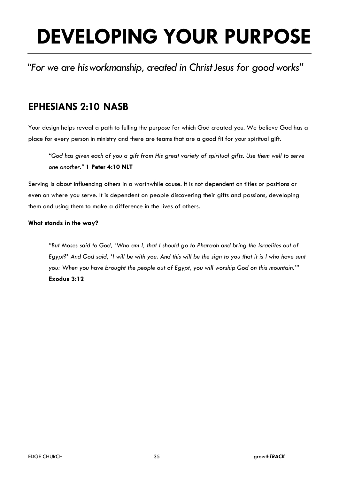# **DEVELOPING YOUR PURPOSE**

*"For we are hisworkmanship, created in ChristJesus for good works"*

## **EPHESIANS 2:10 NASB**

Your design helps reveal a path to fulling the purpose for which God created you. We believe God has a place for every person in ministry and there are teams that are a good fit for your spiritual gift.

*"God has given each of you a gift from His great variety of spiritual gifts. Use them well to serve one another."* **1 Peter 4:10 NLT**

Serving is about influencing others in a worthwhile cause. It is not dependent on titles or positions or even on where you serve. It is dependent on people discovering their gifts and passions, developing them and using them to make a difference in the lives of others.

#### **What stands in the way?**

*"But Moses said to God, 'Who am I, that I should go to Pharaoh and bring the Israelites out of Egypt?' And God said, 'I will be with you. And this will be the sign to you that it is I who have sent you: When you have brought the people out of Egypt, you will worship God on this mountain.'"* **Exodus 3:12**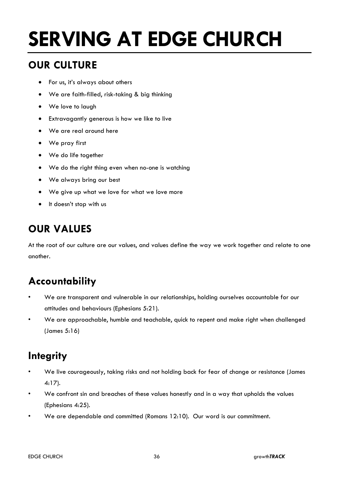# **SERVING AT EDGE CHURCH**

## **OUR CULTURE**

- For us, it's always about others
- We are faith-filled, risk-taking & big thinking
- We love to laugh
- Extravagantly generous is how we like to live
- We are real around here
- We pray first
- We do life together
- We do the right thing even when no-one is watching
- We always bring our best
- We give up what we love for what we love more
- It doesn't stop with us

## **OUR VALUES**

At the root of our culture are our values, and values define the way we work together and relate to one another.

## **Accountability**

- We are transparent and vulnerable in our relationships, holding ourselves accountable for our attitudes and behaviours (Ephesians 5:21).
- We are approachable, humble and teachable, quick to repent and make right when challenged (James 5:16)

## **Integrity**

- We live courageously, taking risks and not holding back for fear of change or resistance (James 4:17).
- We confront sin and breaches of these values honestly and in a way that upholds the values (Ephesians 4:25).
- We are dependable and committed (Romans 12:10). Our word is our commitment.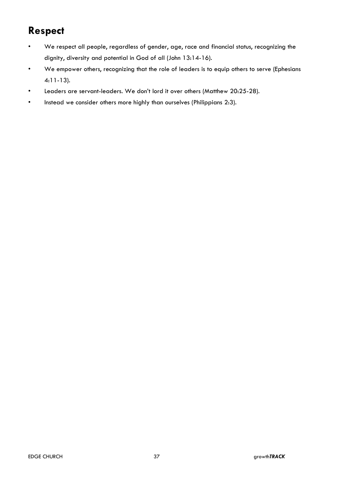## **Respect**

- We respect all people, regardless of gender, age, race and financial status, recognizing the dignity, diversity and potential in God of all (John 13:14-16).
- We empower others, recognizing that the role of leaders is to equip others to serve (Ephesians 4:11-13).
- Leaders are servant-leaders. We don't lord it over others (Matthew 20:25-28).
- Instead we consider others more highly than ourselves (Philippians 2:3).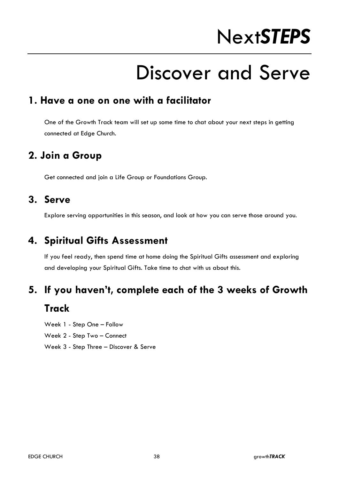# Next*STEPS*

## Discover and Serve

#### **1. Have a one on one with a facilitator**

One of the Growth Track team will set up some time to chat about your next steps in getting connected at Edge Church.

### **2. Join a Group**

Get connected and join a Life Group or Foundations Group.

#### **3. Serve**

Explore serving opportunities in this season, and look at how you can serve those around you.

## **4. Spiritual Gifts Assessment**

If you feel ready, then spend time at home doing the Spiritual Gifts assessment and exploring and developing your Spiritual Gifts. Take time to chat with us about this.

#### **5. If you haven't, complete each of the 3 weeks of Growth**

#### **Track**

Week 1 - Step One – Follow

- Week 2 Step Two Connect
- Week 3 Step Three Discover & Serve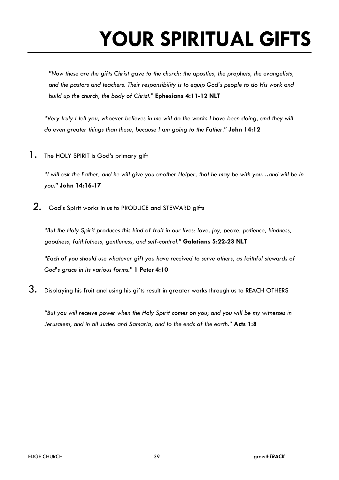# **YOUR SPIRITUAL GIFTS**

*"Now these are the gifts Christ gave to the church: the apostles, the prophets, the evangelists, and the pastors and teachers. Their responsibility is to equip God's people to do His work and build up the church, the body of Christ."* **Ephesians 4:11-12 NLT**

*"Very truly I tell you, whoever believes in me will do the works I have been doing, and they will do even greater things than these, because I am going to the Father."* **John 14:12**

1. The HOLY SPIRIT is God's primary gift

*"I will ask the Father, and he will give you another Helper, that he may be with you…and will be in you."* **John 14:16-17**

*2.* God's Spirit works in us to PRODUCE and STEWARD gifts

*"But the Holy Spirit produces this kind of fruit in our lives: love, joy, peace, patience, kindness, goodness, faithfulness, gentleness, and self-control."* **Galatians 5:22-23 NLT**

*"Each of you should use whatever gift you have received to serve others, as faithful stewards of God's grace in its various forms."* **1 Peter 4:10**

3. Displaying his fruit and using his gifts result in greater works through us to REACH OTHERS

*"But you will receive power when the Holy Spirit comes on you; and you will be my witnesses in Jerusalem, and in all Judea and Samaria, and to the ends of the earth."* **Acts 1:8**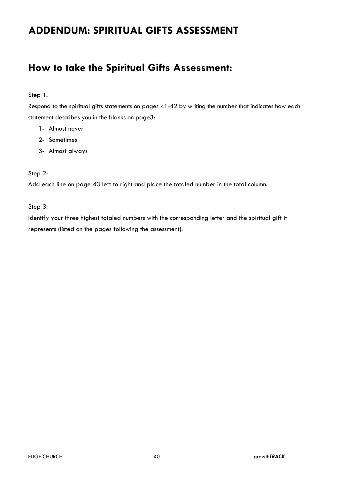## **ADDENDUM: SPIRITUAL GIFTS ASSESSMENT**

## **How to take the Spiritual Gifts Assessment:**

#### Step 1:

Respond to the spiritual gifts statements on pages 41-42 by writing the number that indicates how each statement describes you in the blanks on page3:

- 1- Almost never
- 2- Sometimes
- 3- Almost always

#### Step 2:

Add each line on page 43 left to right and place the totaled number in the total column.

Step 3:

Identify your three highest totaled numbers with the corresponding letter and the spiritual gift it represents (listed on the pages following the assessment).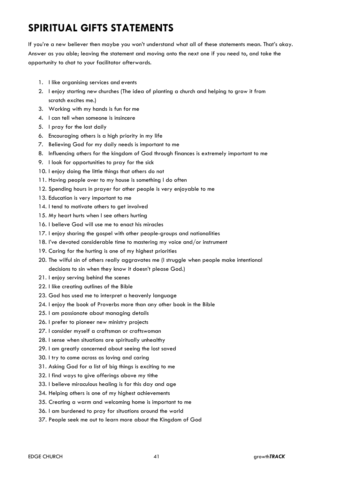## **SPIRITUAL GIFTS STATEMENTS**

If you're a new believer then maybe you won't understand what all of these statements mean. That's okay. Answer as you able; leaving the statement and moving onto the next one if you need to, and take the opportunity to chat to your facilitator afterwards.

- 1. I like organising services and events
- 2. I enjoy starting new churches (The idea of planting a church and helping to grow it from scratch excites me.)
- 3. Working with my hands is fun for me
- 4. I can tell when someone is insincere
- 5. I pray for the lost daily
- 6. Encouraging others is a high priority in my life
- 7. Believing God for my daily needs is important to me
- 8. Influencing others for the kingdom of God through finances is extremely important to me
- 9. I look for opportunities to pray for the sick
- 10. I enjoy doing the little things that others do not
- 11. Having people over to my house is something I do often
- 12. Spending hours in prayer for other people is very enjoyable to me
- 13. Education is very important to me
- 14. I tend to motivate others to get involved
- 15. My heart hurts when I see others hurting
- 16. I believe God will use me to enact his miracles
- 17. I enjoy sharing the gospel with other people-groups and nationalities
- 18. I've devoted considerable time to mastering my voice and/or instrument
- 19. Caring for the hurting is one of my highest priorities
- 20. The wilful sin of others really aggravates me (I struggle when people make intentional decisions to sin when they know it doesn't please God.)
- 21. I enjoy serving behind the scenes
- 22. I like creating outlines of the Bible
- 23. God has used me to interpret a heavenly language
- 24. I enjoy the book of Proverbs more than any other book in the Bible
- 25. I am passionate about managing details
- 26. I prefer to pioneer new ministry projects
- 27. I consider myself a craftsman or craftswoman
- 28. I sense when situations are spiritually unhealthy
- 29. I am greatly concerned about seeing the lost saved
- 30. I try to come across as loving and caring
- 31. Asking God for a list of big things is exciting to me
- 32. I find ways to give offerings above my tithe
- 33. I believe miraculous healing is for this day and age
- 34. Helping others is one of my highest achievements
- 35. Creating a warm and welcoming home is important to me
- 36. I am burdened to pray for situations around the world
- 37. People seek me out to learn more about the Kingdom of God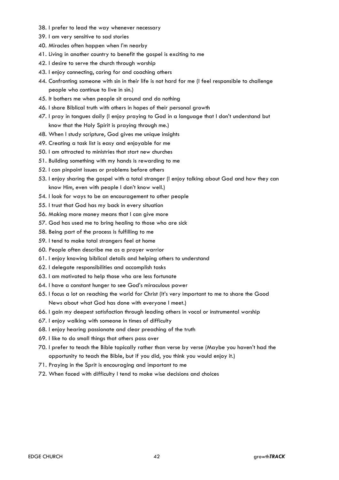- 38. I prefer to lead the way whenever necessary
- 39. I am very sensitive to sad stories
- 40. Miracles often happen when I'm nearby
- 41. Living in another country to benefit the gospel is exciting to me
- 42. I desire to serve the church through worship
- 43. I enjoy connecting, caring for and coaching others
- 44. Confronting someone with sin in their life is not hard for me (I feel responsible to challenge people who continue to live in sin.)
- 45. It bothers me when people sit around and do nothing
- 46. I share Biblical truth with others in hopes of their personal growth
- 47. I pray in tongues daily (I enjoy praying to God in a language that I don't understand but know that the Holy Spirit is praying through me.)
- 48. When I study scripture, God gives me unique insights
- 49. Creating a task list is easy and enjoyable for me
- 50. I am attracted to ministries that start new churches
- 51. Building something with my hands is rewarding to me
- 52. I can pinpoint issues or problems before others
- 53. I enjoy sharing the gospel with a total stranger (I enjoy talking about God and how they can know Him, even with people I don't know well.)
- 54. I look for ways to be an encouragement to other people
- 55. I trust that God has my back in every situation
- 56. Making more money means that I can give more
- 57. God has used me to bring healing to those who are sick
- 58. Being part of the process is fulfilling to me
- 59. I tend to make total strangers feel at home
- 60. People often describe me as a prayer warrior
- 61. I enjoy knowing biblical details and helping others to understand
- 62. I delegate responsibilities and accomplish tasks
- 63. I am motivated to help those who are less fortunate
- 64. I have a constant hunger to see God's miraculous power
- 65. I focus a lot on reaching the world for Christ (It's very important to me to share the Good News about what God has done with everyone I meet.)
- 66. I gain my deepest satisfaction through leading others in vocal or instrumental worship
- 67. I enjoy walking with someone in times of difficulty
- 68. I enjoy hearing passionate and clear preaching of the truth
- 69. I like to do small things that others pass over
- 70. I prefer to teach the Bible topically rather than verse by verse (Maybe you haven't had the opportunity to teach the Bible, but if you did, you think you would enjoy it.)
- 71. Praying in the Sprit is encouraging and important to me
- 72. When faced with difficulty I tend to make wise decisions and choices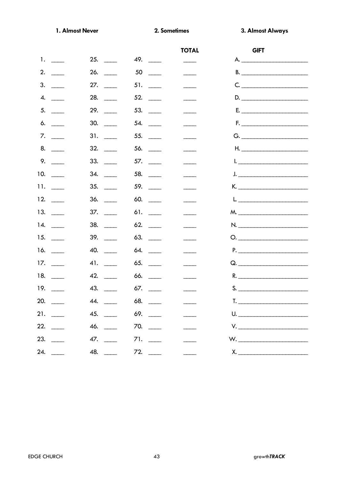1. Almost Never

3. Almost Always

|                                       |                                     |                              | <b>TOTAL</b>                    | <b>GIFT</b>                                                                                                                                                                                                                                                                                                                                                                                |  |
|---------------------------------------|-------------------------------------|------------------------------|---------------------------------|--------------------------------------------------------------------------------------------------------------------------------------------------------------------------------------------------------------------------------------------------------------------------------------------------------------------------------------------------------------------------------------------|--|
| 1.                                    |                                     | 49.                          |                                 | A.                                                                                                                                                                                                                                                                                                                                                                                         |  |
| 2.                                    | 26.                                 | $50 \quad \underline{\quad}$ |                                 |                                                                                                                                                                                                                                                                                                                                                                                            |  |
| 3.                                    | 27.                                 | $51. \_$                     |                                 | C.                                                                                                                                                                                                                                                                                                                                                                                         |  |
| 4.<br>$\frac{1}{2}$ and $\frac{1}{2}$ | 28.                                 | 52.                          |                                 | D.                                                                                                                                                                                                                                                                                                                                                                                         |  |
| 5.                                    | 29.<br>$\sim$                       | 53.                          |                                 | E. <u>___________________________</u>                                                                                                                                                                                                                                                                                                                                                      |  |
| 6.                                    | 30.<br>$\frac{1}{2}$                | 54.<br>$\frac{1}{2}$         | $\overline{\phantom{a}}$        |                                                                                                                                                                                                                                                                                                                                                                                            |  |
| 7.<br>$\mathcal{L}^{\text{max}}$      |                                     |                              |                                 |                                                                                                                                                                                                                                                                                                                                                                                            |  |
| 8.                                    | 32.                                 | 56.                          |                                 |                                                                                                                                                                                                                                                                                                                                                                                            |  |
| 9.                                    | 33.                                 |                              |                                 | $\mathsf{l.}$ $\qquad \qquad$                                                                                                                                                                                                                                                                                                                                                              |  |
| 10.                                   | 34.<br>$\frac{1}{2}$                | 58. $\qquad$                 |                                 | <u>J. ____________________________</u>                                                                                                                                                                                                                                                                                                                                                     |  |
| 11. $\frac{1}{2}$                     | 35.<br>$\mathcal{L}_{\text{max}}$ . | 59. $\qquad$                 |                                 | K. ____________________________                                                                                                                                                                                                                                                                                                                                                            |  |
| 12.                                   | 36.                                 | 60.                          |                                 | $L_{\bullet}$ . The contract of the contract of the contract of the contract of the contract of the contract of the contract of the contract of the contract of the contract of the contract of the contract of the contract of the                                                                                                                                                        |  |
| 13.<br>$\overline{\phantom{a}}$       | 37.                                 |                              | $\overline{\phantom{a}}$        |                                                                                                                                                                                                                                                                                                                                                                                            |  |
| 14.                                   | 38.                                 |                              |                                 |                                                                                                                                                                                                                                                                                                                                                                                            |  |
| 15.                                   |                                     | 63.                          |                                 | $\begin{picture}(180,10) \put(0,0){\line(1,0){10}} \put(15,0){\line(1,0){10}} \put(15,0){\line(1,0){10}} \put(15,0){\line(1,0){10}} \put(15,0){\line(1,0){10}} \put(15,0){\line(1,0){10}} \put(15,0){\line(1,0){10}} \put(15,0){\line(1,0){10}} \put(15,0){\line(1,0){10}} \put(15,0){\line(1,0){10}} \put(15,0){\line(1,0){10}} \put(15,0){\line($                                        |  |
| 16.<br>$\sim$                         | 40.<br>$\mathcal{L}^{\text{max}}$   | 64.                          |                                 | P.                                                                                                                                                                                                                                                                                                                                                                                         |  |
| 17.<br>$\sim$                         | 41.<br>$\sim$                       | 65.<br>$\frac{1}{2}$         |                                 |                                                                                                                                                                                                                                                                                                                                                                                            |  |
| 18. $\frac{1}{1}$                     | 42.<br>$\mathcal{L}^{\text{max}}$   | 66.<br>$\sim$                |                                 | R.                                                                                                                                                                                                                                                                                                                                                                                         |  |
| 19. $\frac{1}{2}$                     | 43.<br>$\sim$ 100 $\sim$            | 67.<br>$\sim$ 100 $\mu$      |                                 | S.                                                                                                                                                                                                                                                                                                                                                                                         |  |
| 20.                                   | 44.                                 | 68.                          |                                 | T.                                                                                                                                                                                                                                                                                                                                                                                         |  |
|                                       |                                     | 69. ___                      |                                 | U.                                                                                                                                                                                                                                                                                                                                                                                         |  |
|                                       | 46.                                 | 70.                          | $\frac{1}{2}$ and $\frac{1}{2}$ | $V. \begin{tabular}{ c c c } \hline \rule{0.2cm}{.0cm} & \rule{0.2cm}{.0cm} \multicolumn{3}{c}{\textbf{V}} & \multicolumn{3}{c}{\textbf{V}} \\ \hline \rule{0.2cm}{.0cm} & \rule{0.2cm}{.0cm} & \rule{0.2cm}{.0cm} & \rule{0.2cm}{.0cm} & \rule{0.2cm}{.0cm} & \rule{0.2cm}{.0cm} & \rule{0.2cm}{.0cm} & \rule{0.2cm}{.0cm} & \rule{0.2cm}{.0cm} & \rule{0.2cm}{.0cm} & \rule{0.2cm}{.0cm$ |  |
|                                       | 47.                                 | 71.                          | $\overline{\phantom{a}}$        |                                                                                                                                                                                                                                                                                                                                                                                            |  |
| 24.                                   | 48. $\frac{1}{2}$                   | 72.                          |                                 |                                                                                                                                                                                                                                                                                                                                                                                            |  |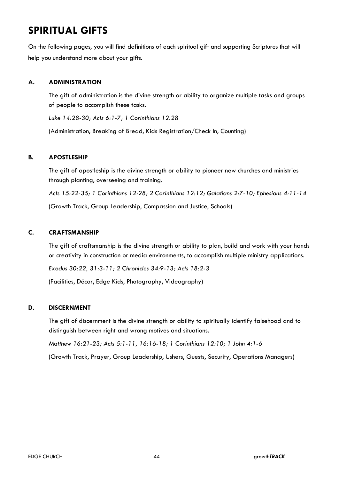## **SPIRITUAL GIFTS**

On the following pages, you will find definitions of each spiritual gift and supporting Scriptures that will help you understand more about your gifts.

#### **A. ADMINISTRATION**

The gift of administration is the divine strength or ability to organize multiple tasks and groups of people to accomplish these tasks.

*Luke 14:28-30; Acts 6:1-7; 1 Corinthians 12:28*

(Administration, Breaking of Bread, Kids Registration/Check In, Counting)

#### **B. APOSTLESHIP**

The gift of apostleship is the divine strength or ability to pioneer new churches and ministries through planting, overseeing and training.

*Acts 15:22-35; 1 Corinthians 12:28; 2 Corinthians 12:12; Galatians 2:7-10; Ephesians 4:11-14*

(Growth Track, Group Leadership, Compassion and Justice, Schools)

#### **C. CRAFTSMANSHIP**

The gift of craftsmanship is the divine strength or ability to plan, build and work with your hands or creativity in construction or media environments, to accomplish multiple ministry applications.

*Exodus 30:22, 31:3-11; 2 Chronicles 34:9-13; Acts 18:2-3*

(Facilities, Décor, Edge Kids, Photography, Videography)

#### **D. DISCERNMENT**

The gift of discernment is the divine strength or ability to spiritually identify falsehood and to distinguish between right and wrong motives and situations.

*Matthew 16:21-23; Acts 5:1-11, 16:16-18; 1 Corinthians 12:10; 1 John 4:1-6*

(Growth Track, Prayer, Group Leadership, Ushers, Guests, Security, Operations Managers)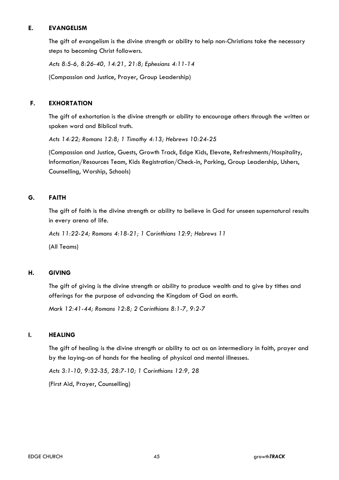#### **E. EVANGELISM**

The gift of evangelism is the divine strength or ability to help non-Christians take the necessary steps to becoming Christ followers.

*Acts 8:5-6, 8:26-40, 14:21, 21:8; Ephesians 4:11-14*

(Compassion and Justice, Prayer, Group Leadership)

#### **F. EXHORTATION**

The gift of exhortation is the divine strength or ability to encourage others through the written or spoken word and Biblical truth.

*Acts 14:22; Romans 12:8; 1 Timothy 4:13; Hebrews 10:24-25*

(Compassion and Justice, Guests, Growth Track, Edge Kids, Elevate, Refreshments/Hospitality, Information/Resources Team, Kids Registration/Check-in, Parking, Group Leadership, Ushers, Counselling, Worship, Schools)

#### **G. FAITH**

The gift of faith is the divine strength or ability to believe in God for unseen supernatural results in every arena of life.

*Acts 11:22-24; Romans 4:18-21; 1 Corinthians 12:9; Hebrews 11*

(All Teams)

#### **H. GIVING**

The gift of giving is the divine strength or ability to produce wealth and to give by tithes and offerings for the purpose of advancing the Kingdom of God on earth.

*Mark 12:41-44; Romans 12:8; 2 Corinthians 8:1-7, 9:2-7*

#### **I. HEALING**

The gift of healing is the divine strength or ability to act as an intermediary in faith, prayer and by the laying-on of hands for the healing of physical and mental illnesses.

*Acts 3:1-10, 9:32-35, 28:7-10; 1 Corinthians 12:9, 28*

(First Aid, Prayer, Counselling)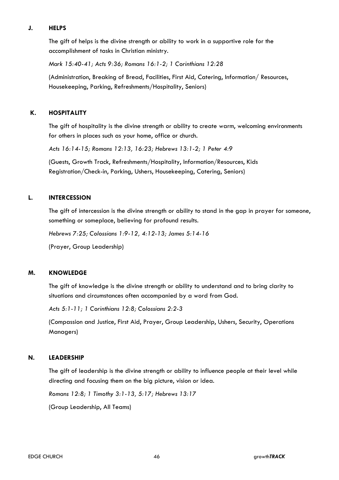#### **J. HELPS**

The gift of helps is the divine strength or ability to work in a supportive role for the accomplishment of tasks in Christian ministry.

*Mark 15:40-41; Acts 9:36; Romans 16:1-2; 1 Corinthians 12:28*

(Administration, Breaking of Bread, Facilities, First Aid, Catering, Information/ Resources, Housekeeping, Parking, Refreshments/Hospitality, Seniors)

#### **K. HOSPITALITY**

The gift of hospitality is the divine strength or ability to create warm, welcoming environments for others in places such as your home, office or church.

*Acts 16:14-15; Romans 12:13, 16:23; Hebrews 13:1-2; 1 Peter 4:9*

(Guests, Growth Track, Refreshments/Hospitality, Information/Resources, Kids Registration/Check-in, Parking, Ushers, Housekeeping, Catering, Seniors)

#### **L. INTERCESSION**

The gift of intercession is the divine strength or ability to stand in the gap in prayer for someone, something or someplace, believing for profound results.

*Hebrews 7:25; Colossians 1:9-12, 4:12-13; James 5:14-16*

(Prayer, Group Leadership)

#### **M. KNOWLEDGE**

The gift of knowledge is the divine strength or ability to understand and to bring clarity to situations and circumstances often accompanied by a word from God.

*Acts 5:1-11; 1 Corinthians 12:8; Colossians 2:2-3*

(Compassion and Justice, First Aid, Prayer, Group Leadership, Ushers, Security, Operations Managers)

#### **N. LEADERSHIP**

The gift of leadership is the divine strength or ability to influence people at their level while directing and focusing them on the big picture, vision or idea.

*Romans 12:8; 1 Timothy 3:1-13, 5:17; Hebrews 13:17*

(Group Leadership, All Teams)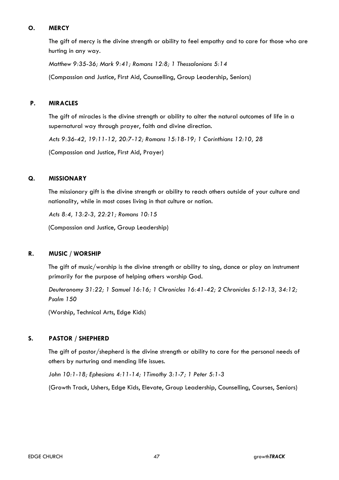#### **O. MERCY**

The gift of mercy is the divine strength or ability to feel empathy and to care for those who are hurting in any way.

*Matthew 9:35-36; Mark 9:41; Romans 12:8; 1 Thessalonians 5:14*

(Compassion and Justice, First Aid, Counselling, Group Leadership, Seniors)

#### **P. MIRACLES**

The gift of miracles is the divine strength or ability to alter the natural outcomes of life in a supernatural way through prayer, faith and divine direction.

*Acts 9:36-42, 19:11-12, 20:7-12; Romans 15:18-19; 1 Corinthians 12:10, 28*

(Compassion and Justice, First Aid, Prayer)

#### **Q. MISSIONARY**

The missionary gift is the divine strength or ability to reach others outside of your culture and nationality, while in most cases living in that culture or nation.

*Acts 8:4, 13:2-3, 22:21; Romans 10:15*

(Compassion and Justice, Group Leadership)

#### **R. MUSIC / WORSHIP**

The gift of music/worship is the divine strength or ability to sing, dance or play an instrument primarily for the purpose of helping others worship God.

*Deuteronomy 31:22; 1 Samuel 16:16; 1 Chronicles 16:41-42; 2 Chronicles 5:12-13, 34:12; Psalm 150*

(Worship, Technical Arts, Edge Kids)

#### **S. PASTOR / SHEPHERD**

The gift of pastor/shepherd is the divine strength or ability to care for the personal needs of others by nurturing and mending life issues.

*John 10:1-18; Ephesians 4:11-14; 1Timothy 3:1-7; 1 Peter 5:1-3*

(Growth Track, Ushers, Edge Kids, Elevate, Group Leadership, Counselling, Courses, Seniors)